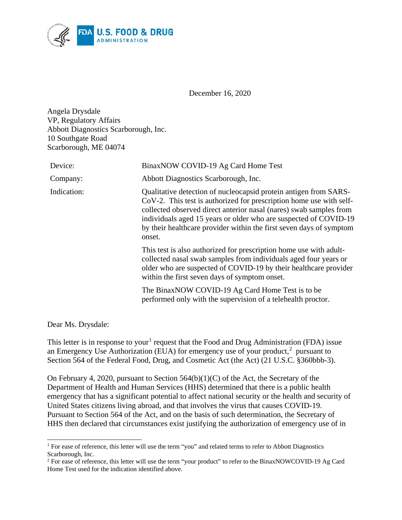

December 16, 2020

Angela Drysdale VP, Regulatory Affairs Abbott Diagnostics Scarborough, Inc. 10 Southgate Road Scarborough, ME 04074

| Device:     | BinaxNOW COVID-19 Ag Card Home Test                                                                                                                                                                                                                                                                                                                                |
|-------------|--------------------------------------------------------------------------------------------------------------------------------------------------------------------------------------------------------------------------------------------------------------------------------------------------------------------------------------------------------------------|
| Company:    | Abbott Diagnostics Scarborough, Inc.                                                                                                                                                                                                                                                                                                                               |
| Indication: | Qualitative detection of nucleocapsid protein antigen from SARS-<br>CoV-2. This test is authorized for prescription home use with self-<br>collected observed direct anterior nasal (nares) swab samples from<br>individuals aged 15 years or older who are suspected of COVID-19<br>by their healthcare provider within the first seven days of symptom<br>onset. |
|             | This test is also authorized for prescription home use with adult-<br>collected nasal swab samples from individuals aged four years or<br>older who are suspected of COVID-19 by their healthcare provider<br>within the first seven days of symptom onset.                                                                                                        |
|             | The BinaxNOW COVID-19 Ag Card Home Test is to be<br>performed only with the supervision of a telehealth proctor.                                                                                                                                                                                                                                                   |

Dear Ms. Drysdale:

This letter is in response to your<sup>[1](#page-0-0)</sup> request that the Food and Drug Administration (FDA) issue an Emergency Use Authorization (EUA) for emergency use of your product, $2$  pursuant to Section 564 of the Federal Food, Drug, and Cosmetic Act (the Act) (21 U.S.C. §360bbb-3).

On February 4, 2020, pursuant to Section  $564(b)(1)(C)$  of the Act, the Secretary of the Department of Health and Human Services (HHS) determined that there is a public health emergency that has a significant potential to affect national security or the health and security of United States citizens living abroad, and that involves the virus that causes COVID-19. Pursuant to Section 564 of the Act, and on the basis of such determination, the Secretary of HHS then declared that circumstances exist justifying the authorization of emergency use of in

<span id="page-0-0"></span><sup>&</sup>lt;sup>1</sup> For ease of reference, this letter will use the term "you" and related terms to refer to Abbott Diagnostics Scarborough, Inc.

<span id="page-0-1"></span><sup>&</sup>lt;sup>2</sup> For ease of reference, this letter will use the term "your product" to refer to the BinaxNOWCOVID-19 Ag Card Home Test used for the indication identified above.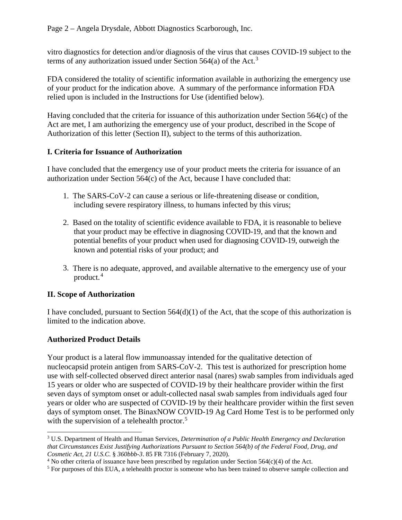vitro diagnostics for detection and/or diagnosis of the virus that causes COVID-19 subject to the terms of any authorization issued under Section 564(a) of the Act.<sup>[3](#page-1-0)</sup>

FDA considered the totality of scientific information available in authorizing the emergency use of your product for the indication above. A summary of the performance information FDA relied upon is included in the Instructions for Use (identified below).

Having concluded that the criteria for issuance of this authorization under Section 564(c) of the Act are met, I am authorizing the emergency use of your product, described in the Scope of Authorization of this letter (Section II), subject to the terms of this authorization.

# **I. Criteria for Issuance of Authorization**

I have concluded that the emergency use of your product meets the criteria for issuance of an authorization under Section 564(c) of the Act, because I have concluded that:

- 1. The SARS-CoV-2 can cause a serious or life-threatening disease or condition, including severe respiratory illness, to humans infected by this virus;
- 2. Based on the totality of scientific evidence available to FDA, it is reasonable to believe that your product may be effective in diagnosing COVID-19, and that the known and potential benefits of your product when used for diagnosing COVID-19, outweigh the known and potential risks of your product; and
- 3. There is no adequate, approved, and available alternative to the emergency use of your product. [4](#page-1-1)

# **II. Scope of Authorization**

I have concluded, pursuant to Section  $564(d)(1)$  of the Act, that the scope of this authorization is limited to the indication above.

# **Authorized Product Details**

Your product is a lateral flow immunoassay intended for the qualitative detection of nucleocapsid protein antigen from SARS-CoV-2. This test is authorized for prescription home use with self-collected observed direct anterior nasal (nares) swab samples from individuals aged 15 years or older who are suspected of COVID-19 by their healthcare provider within the first seven days of symptom onset or adult-collected nasal swab samples from individuals aged four years or older who are suspected of COVID-19 by their healthcare provider within the first seven days of symptom onset. The BinaxNOW COVID-19 Ag Card Home Test is to be performed only with the supervision of a telehealth proctor.<sup>[5](#page-1-2)</sup>

<span id="page-1-0"></span> <sup>3</sup> U.S. Department of Health and Human Services, *Determination of a Public Health Emergency and Declaration that Circumstances Exist Justifying Authorizations Pursuant to Section 564(b) of the Federal Food, Drug, and* 

<span id="page-1-1"></span><sup>&</sup>lt;sup>4</sup> No other criteria of issuance have been prescribed by regulation under Section  $564(c)(4)$  of the Act.

<span id="page-1-2"></span><sup>&</sup>lt;sup>5</sup> For purposes of this EUA, a telehealth proctor is someone who has been trained to observe sample collection and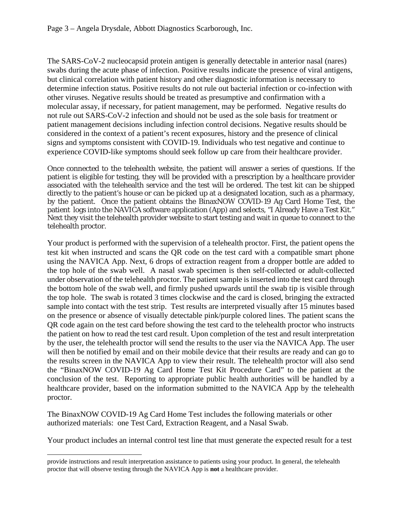The SARS-CoV-2 nucleocapsid protein antigen is generally detectable in anterior nasal (nares) swabs during the acute phase of infection. Positive results indicate the presence of viral antigens, but clinical correlation with patient history and other diagnostic information is necessary to determine infection status. Positive results do not rule out bacterial infection or co-infection with other viruses. Negative results should be treated as presumptive and confirmation with a molecular assay, if necessary, for patient management, may be performed. Negative results do not rule out SARS-CoV-2 infection and should not be used as the sole basis for treatment or patient management decisions including infection control decisions. Negative results should be considered in the context of a patient's recent exposures, history and the presence of clinical signs and symptoms consistent with COVID-19. Individuals who test negative and continue to experience COVID-like symptoms should seek follow up care from their healthcare provider.

Once connected to the telehealth website, the patient will answer a series of questions. If the patient is eligible for testing, they will be provided with a prescription by a healthcare provider associated with the telehealth service and the test will be ordered. The test kit can be shipped directly to the patient's house or can be picked up at a designated location, such as a pharmacy, by the patient. Once the patient obtains the BinaxNOW COVID-19 Ag Card Home Test, the patient logs into the NAVICA software application (App) and selects, "I Already Have a Test Kit." Next they visit the telehealth provider website to start testing and wait in queue to connect to the telehealth proctor.

Your product is performed with the supervision of a telehealth proctor. First, the patient opens the test kit when instructed and scans the QR code on the test card with a compatible smart phone using the NAVICA App. Next, 6 drops of extraction reagent from a dropper bottle are added to the top hole of the swab well. A nasal swab specimen is then self-collected or adult-collected under observation of the telehealth proctor. The patient sample is inserted into the test card through the bottom hole of the swab well, and firmly pushed upwards until the swab tip is visible through the top hole. The swab is rotated 3 times clockwise and the card is closed, bringing the extracted sample into contact with the test strip. Test results are interpreted visually after 15 minutes based on the presence or absence of visually detectable pink/purple colored lines. The patient scans the QR code again on the test card before showing the test card to the telehealth proctor who instructs the patient on how to read the test card result. Upon completion of the test and result interpretation by the user, the telehealth proctor will send the results to the user via the NAVICA App. The user will then be notified by email and on their mobile device that their results are ready and can go to the results screen in the NAVICA App to view their result. The telehealth proctor will also send the "BinaxNOW COVID-19 Ag Card Home Test Kit Procedure Card" to the patient at the conclusion of the test. Reporting to appropriate public health authorities will be handled by a healthcare provider, based on the information submitted to the NAVICA App by the telehealth proctor.

The BinaxNOW COVID-19 Ag Card Home Test includes the following materials or other authorized materials: one Test Card, Extraction Reagent, and a Nasal Swab.

Your product includes an internal control test line that must generate the expected result for a test

 $\overline{a}$ 

provide instructions and result interpretation assistance to patients using your product. In general, the telehealth proctor that will observe testing through the NAVICA App is **not** a healthcare provider.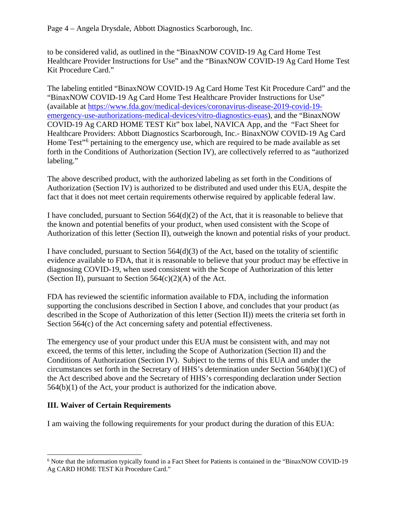to be considered valid, as outlined in the "BinaxNOW COVID-19 Ag Card Home Test Healthcare Provider Instructions for Use" and the "BinaxNOW COVID-19 Ag Card Home Test Kit Procedure Card."

The labeling entitled "BinaxNOW COVID-19 Ag Card Home Test Kit Procedure Card" and the "BinaxNOW COVID-19 Ag Card Home Test Healthcare Provider Instructions for Use" (available at [https://www.fda.gov/medical-devices/coronavirus-disease-2019-covid-19](https://www.fda.gov/medical-devices/coronavirus-disease-2019-covid-19-emergency-use-authorizations-medical-devices/vitro-diagnostics-euas) [emergency-use-authorizations-medical-devices/vitro-diagnostics-euas\)](https://www.fda.gov/medical-devices/coronavirus-disease-2019-covid-19-emergency-use-authorizations-medical-devices/vitro-diagnostics-euas), and the "BinaxNOW COVID-19 Ag CARD HOME TEST Kit" box label, NAVICA App, and the "Fact Sheet for Healthcare Providers: Abbott Diagnostics Scarborough, Inc.- BinaxNOW COVID-19 Ag Card Home Test<sup>"[6](#page-3-0)</sup> pertaining to the emergency use, which are required to be made available as set forth in the Conditions of Authorization (Section IV), are collectively referred to as "authorized labeling."

The above described product, with the authorized labeling as set forth in the Conditions of Authorization (Section IV) is authorized to be distributed and used under this EUA, despite the fact that it does not meet certain requirements otherwise required by applicable federal law.

I have concluded, pursuant to Section  $564(d)(2)$  of the Act, that it is reasonable to believe that the known and potential benefits of your product, when used consistent with the Scope of Authorization of this letter (Section II), outweigh the known and potential risks of your product.

I have concluded, pursuant to Section 564(d)(3) of the Act, based on the totality of scientific evidence available to FDA, that it is reasonable to believe that your product may be effective in diagnosing COVID-19, when used consistent with the Scope of Authorization of this letter (Section II), pursuant to Section  $564(c)(2)(A)$  of the Act.

FDA has reviewed the scientific information available to FDA, including the information supporting the conclusions described in Section I above, and concludes that your product (as described in the Scope of Authorization of this letter (Section II)) meets the criteria set forth in Section 564(c) of the Act concerning safety and potential effectiveness.

The emergency use of your product under this EUA must be consistent with, and may not exceed, the terms of this letter, including the Scope of Authorization (Section II) and the Conditions of Authorization (Section IV). Subject to the terms of this EUA and under the circumstances set forth in the Secretary of HHS's determination under Section 564(b)(1)(C) of the Act described above and the Secretary of HHS's corresponding declaration under Section 564(b)(1) of the Act, your product is authorized for the indication above.

## **III. Waiver of Certain Requirements**

I am waiving the following requirements for your product during the duration of this EUA:

<span id="page-3-0"></span> <sup>6</sup> Note that the information typically found in a Fact Sheet for Patients is contained in the "BinaxNOW COVID-19 Ag CARD HOME TEST Kit Procedure Card."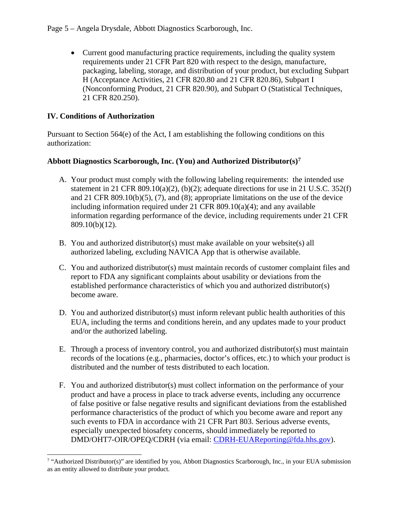Page 5 – Angela Drysdale, Abbott Diagnostics Scarborough, Inc.

• Current good manufacturing practice requirements, including the quality system requirements under 21 CFR Part 820 with respect to the design, manufacture, packaging, labeling, storage, and distribution of your product, but excluding Subpart H (Acceptance Activities, 21 CFR 820.80 and 21 CFR 820.86), Subpart I (Nonconforming Product, 21 CFR 820.90), and Subpart O (Statistical Techniques, 21 CFR 820.250).

### **IV. Conditions of Authorization**

Pursuant to Section 564(e) of the Act, I am establishing the following conditions on this authorization:

#### **Abbott Diagnostics Scarborough, Inc. (You) and Authorized Distributor(s)[7](#page-4-0)**

- A. Your product must comply with the following labeling requirements: the intended use statement in 21 CFR 809.10(a)(2), (b)(2); adequate directions for use in 21 U.S.C. 352(f) and 21 CFR 809.10(b)(5), (7), and (8); appropriate limitations on the use of the device including information required under 21 CFR 809.10(a)(4); and any available information regarding performance of the device, including requirements under 21 CFR 809.10(b)(12).
- B. You and authorized distributor(s) must make available on your website(s) all authorized labeling, excluding NAVICA App that is otherwise available.
- C. You and authorized distributor(s) must maintain records of customer complaint files and report to FDA any significant complaints about usability or deviations from the established performance characteristics of which you and authorized distributor(s) become aware.
- D. You and authorized distributor(s) must inform relevant public health authorities of this EUA, including the terms and conditions herein, and any updates made to your product and/or the authorized labeling.
- E. Through a process of inventory control, you and authorized distributor(s) must maintain records of the locations (e.g., pharmacies, doctor's offices, etc.) to which your product is distributed and the number of tests distributed to each location.
- F. You and authorized distributor(s) must collect information on the performance of your product and have a process in place to track adverse events, including any occurrence of false positive or false negative results and significant deviations from the established performance characteristics of the product of which you become aware and report any such events to FDA in accordance with 21 CFR Part 803. Serious adverse events, especially unexpected biosafety concerns, should immediately be reported to DMD/OHT7-OIR/OPEQ/CDRH (via email: [CDRH-EUAReporting@fda.hhs.gov\)](mailto:CDRH-EUAReporting@fda.hhs.gov).

<span id="page-4-0"></span> <sup>7</sup> "Authorized Distributor(s)" are identified by you, Abbott Diagnostics Scarborough, Inc., in your EUA submission as an entity allowed to distribute your product.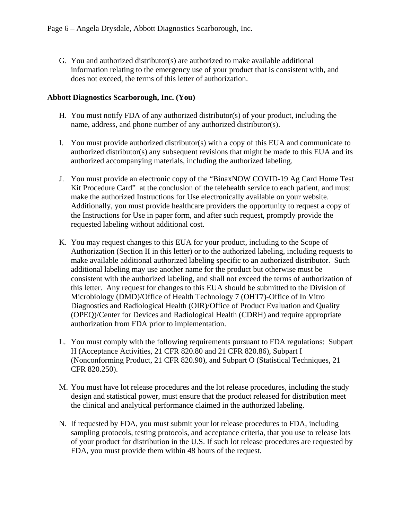G. You and authorized distributor(s) are authorized to make available additional information relating to the emergency use of your product that is consistent with, and does not exceed, the terms of this letter of authorization.

#### **Abbott Diagnostics Scarborough, Inc. (You)**

- H. You must notify FDA of any authorized distributor(s) of your product, including the name, address, and phone number of any authorized distributor(s).
- I. You must provide authorized distributor(s) with a copy of this EUA and communicate to authorized distributor(s) any subsequent revisions that might be made to this EUA and its authorized accompanying materials, including the authorized labeling.
- J. You must provide an electronic copy of the "BinaxNOW COVID-19 Ag Card Home Test Kit Procedure Card" at the conclusion of the telehealth service to each patient, and must make the authorized Instructions for Use electronically available on your website. Additionally, you must provide healthcare providers the opportunity to request a copy of the Instructions for Use in paper form, and after such request, promptly provide the requested labeling without additional cost.
- K. You may request changes to this EUA for your product, including to the Scope of Authorization (Section II in this letter) or to the authorized labeling, including requests to make available additional authorized labeling specific to an authorized distributor. Such additional labeling may use another name for the product but otherwise must be consistent with the authorized labeling, and shall not exceed the terms of authorization of this letter. Any request for changes to this EUA should be submitted to the Division of Microbiology (DMD)/Office of Health Technology 7 (OHT7)-Office of In Vitro Diagnostics and Radiological Health (OIR)/Office of Product Evaluation and Quality (OPEQ)/Center for Devices and Radiological Health (CDRH) and require appropriate authorization from FDA prior to implementation.
- L. You must comply with the following requirements pursuant to FDA regulations: Subpart H (Acceptance Activities, 21 CFR 820.80 and 21 CFR 820.86), Subpart I (Nonconforming Product, 21 CFR 820.90), and Subpart O (Statistical Techniques, 21 CFR 820.250).
- M. You must have lot release procedures and the lot release procedures, including the study design and statistical power, must ensure that the product released for distribution meet the clinical and analytical performance claimed in the authorized labeling.
- N. If requested by FDA, you must submit your lot release procedures to FDA, including sampling protocols, testing protocols, and acceptance criteria, that you use to release lots of your product for distribution in the U.S. If such lot release procedures are requested by FDA, you must provide them within 48 hours of the request.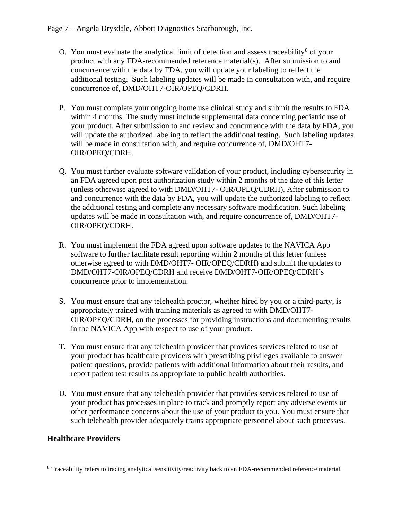- O. You must evaluate the analytical limit of detection and assess traceability<sup>[8](#page-6-0)</sup> of your product with any FDA-recommended reference material(s). After submission to and concurrence with the data by FDA, you will update your labeling to reflect the additional testing. Such labeling updates will be made in consultation with, and require concurrence of, DMD/OHT7-OIR/OPEQ/CDRH.
- P. You must complete your ongoing home use clinical study and submit the results to FDA within 4 months. The study must include supplemental data concerning pediatric use of your product. After submission to and review and concurrence with the data by FDA, you will update the authorized labeling to reflect the additional testing. Such labeling updates will be made in consultation with, and require concurrence of, DMD/OHT7- OIR/OPEQ/CDRH.
- Q. You must further evaluate software validation of your product, including cybersecurity in an FDA agreed upon post authorization study within 2 months of the date of this letter (unless otherwise agreed to with DMD/OHT7- OIR/OPEQ/CDRH). After submission to and concurrence with the data by FDA, you will update the authorized labeling to reflect the additional testing and complete any necessary software modification. Such labeling updates will be made in consultation with, and require concurrence of, DMD/OHT7- OIR/OPEQ/CDRH.
- R. You must implement the FDA agreed upon software updates to the NAVICA App software to further facilitate result reporting within 2 months of this letter (unless otherwise agreed to with DMD/OHT7- OIR/OPEQ/CDRH) and submit the updates to DMD/OHT7-OIR/OPEQ/CDRH and receive DMD/OHT7-OIR/OPEQ/CDRH's concurrence prior to implementation.
- S. You must ensure that any telehealth proctor, whether hired by you or a third-party, is appropriately trained with training materials as agreed to with DMD/OHT7- OIR/OPEQ/CDRH, on the processes for providing instructions and documenting results in the NAVICA App with respect to use of your product.
- T. You must ensure that any telehealth provider that provides services related to use of your product has healthcare providers with prescribing privileges available to answer patient questions, provide patients with additional information about their results, and report patient test results as appropriate to public health authorities.
- U. You must ensure that any telehealth provider that provides services related to use of your product has processes in place to track and promptly report any adverse events or other performance concerns about the use of your product to you. You must ensure that such telehealth provider adequately trains appropriate personnel about such processes.

## **Healthcare Providers**

<span id="page-6-0"></span> <sup>8</sup> Traceability refers to tracing analytical sensitivity/reactivity back to an FDA-recommended reference material.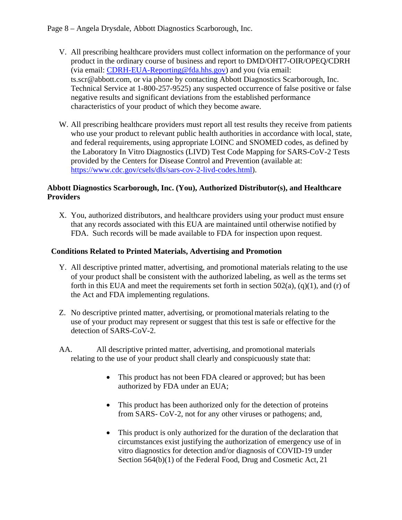- V. All prescribing healthcare providers must collect information on the performance of your product in the ordinary course of business and report to DMD/OHT7-OIR/OPEQ/CDRH (via email: [CDRH-EUA-Reporting@fda.hhs.gov\)](mailto:CDRH-EUA-Reporting@fda.hhs.gov) and you (via email: ts.scr@abbott.com, or via phone by contacting Abbott Diagnostics Scarborough, Inc. Technical Service at 1-800-257-9525) any suspected occurrence of false positive or false negative results and significant deviations from the established performance characteristics of your product of which they become aware.
- W. All prescribing healthcare providers must report all test results they receive from patients who use your product to relevant public health authorities in accordance with local, state, and federal requirements, using appropriate LOINC and SNOMED codes, as defined by the Laboratory In Vitro Diagnostics (LIVD) Test Code Mapping for SARS-CoV-2 Tests provided by the Centers for Disease Control and Prevention (available at: [https://www.cdc.gov/csels/dls/sars-cov-2-livd-codes.html\)](https://www.cdc.gov/csels/dls/sars-cov-2-livd-codes.html).

#### **Abbott Diagnostics Scarborough, Inc. (You), Authorized Distributor(s), and Healthcare Providers**

X. You, authorized distributors, and healthcare providers using your product must ensure that any records associated with this EUA are maintained until otherwise notified by FDA. Such records will be made available to FDA for inspection upon request.

### **Conditions Related to Printed Materials, Advertising and Promotion**

- Y. All descriptive printed matter, advertising, and promotional materials relating to the use of your product shall be consistent with the authorized labeling, as well as the terms set forth in this EUA and meet the requirements set forth in section  $502(a)$ ,  $(q)(1)$ , and  $(r)$  of the Act and FDA implementing regulations.
- Z. No descriptive printed matter, advertising, or promotionalmaterials relating to the use of your product may represent or suggest that this test is safe or effective for the detection of SARS-CoV-2.
- AA. All descriptive printed matter, advertising, and promotional materials relating to the use of your product shall clearly and conspicuously state that:
	- This product has not been FDA cleared or approved; but has been authorized by FDA under an EUA;
	- This product has been authorized only for the detection of proteins from SARS- CoV-2, not for any other viruses or pathogens; and,
	- This product is only authorized for the duration of the declaration that circumstances exist justifying the authorization of emergency use of in vitro diagnostics for detection and/or diagnosis of COVID-19 under Section 564(b)(1) of the Federal Food, Drug and Cosmetic Act, 21